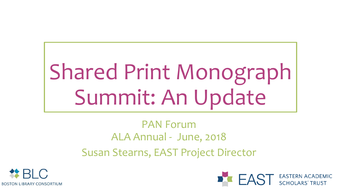# Shared Print Monograph Summit: An Update

#### PAN Forum ALA Annual - June, 2018 Susan Stearns, EAST Project Director



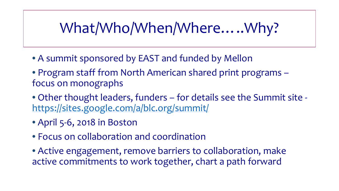#### What/Who/When/Where…..Why?

- A summit sponsored by EAST and funded by Mellon
- Program staff from North American shared print programs focus on monographs
- Other thought leaders, funders for details see the Summit site <https://sites.google.com/a/blc.org/summit/>
- April 5-6, 2018 in Boston
- Focus on collaboration and coordination
- Active engagement, remove barriers to collaboration, make active commitments to work together, chart a path forward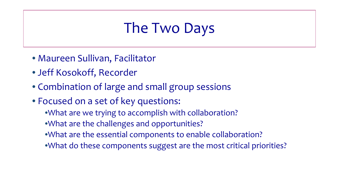#### The Two Days

- Maureen Sullivan, Facilitator
- Jeff Kosokoff, Recorder
- Combination of large and small group sessions
- Focused on a set of key questions:
	- •What are we trying to accomplish with collaboration?
	- •What are the challenges and opportunities?
	- •What are the essential components to enable collaboration?
	- •What do these components suggest are the most critical priorities?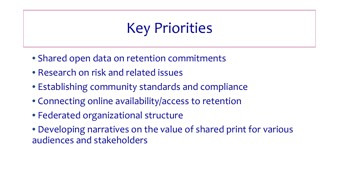#### Key Priorities

- Shared open data on retention commitments
- Research on risk and related issues
- Establishing community standards and compliance
- Connecting online availability/access to retention
- Federated organizational structure
- Developing narratives on the value of shared print for various audiences and stakeholders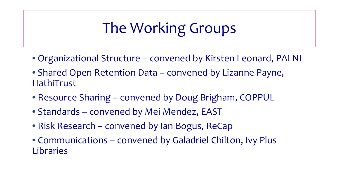## The Working Groups

- Organizational Structure convened by Kirsten Leonard, PALNI
- Shared Open Retention Data convened by Lizanne Payne, HathiTrust
- Resource Sharing convened by Doug Brigham, COPPUL
- Standards convened by Mei Mendez, EAST
- Risk Research convened by Ian Bogus, ReCap
- Communications convened by Galadriel Chilton, Ivy Plus Libraries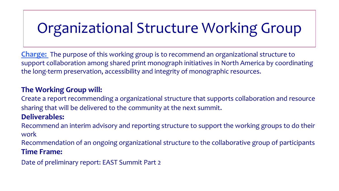# Organizational Structure Working Group

**Charge:** The purpose of this working group is to recommend an organizational structure to support collaboration among shared print monograph initiatives in North America by coordinating the long-term preservation, accessibility and integrity of monographic resources.

#### **The Working Group will:**

Create a report recommending a organizational structure that supports collaboration and resource sharing that will be delivered to the community at the next summit.

#### **Deliverables:**

Recommend an interim advisory and reporting structure to support the working groups to do their work

Recommendation of an ongoing organizational structure to the collaborative group of participants **Time Frame:**

Date of preliminary report: EAST Summit Part 2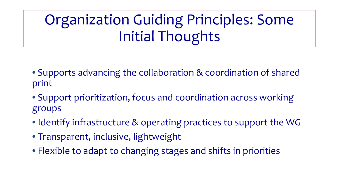## Organization Guiding Principles: Some Initial Thoughts

- Supports advancing the collaboration & coordination of shared print
- Support prioritization, focus and coordination across working groups
- Identify infrastructure & operating practices to support the WG
- Transparent, inclusive, lightweight
- Flexible to adapt to changing stages and shifts in priorities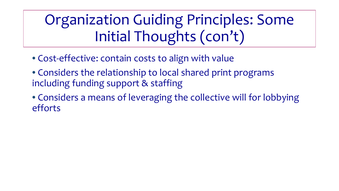## Organization Guiding Principles: Some Initial Thoughts (con't)

- Cost-effective: contain costs to align with value
- Considers the relationship to local shared print programs including funding support & staffing
- Considers a means of leveraging the collective will for lobbying efforts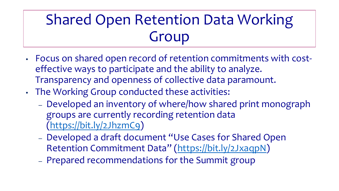## Shared Open Retention Data Working Group

- Focus on shared open record of retention commitments with costeffective ways to participate and the ability to analyze. Transparency and openness of collective data paramount.
- The Working Group conducted these activities:
	- Developed an inventory of where/how shared print monograph groups are currently recording retention data [\(https://bit.ly/2JhzmC9\)](https://bit.ly/2JhzmC9)
	- Developed a draft document "Use Cases for Shared Open Retention Commitment Data" [\(https://bit.ly/2JxaqpN\)](https://bit.ly/2JxaqpN)
	- Prepared recommendations for the Summit group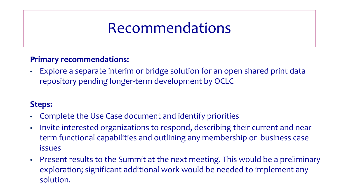#### Recommendations

#### **Primary recommendations:** •

• Explore a separate interim or bridge solution for an open shared print data repository pending longer-term development by OCLC

#### **Steps:**

- Complete the Use Case document and identify priorities
- Invite interested organizations to respond, describing their current and nearterm functional capabilities and outlining any membership or business case issues
- Present results to the Summit at the next meeting. This would be a preliminary exploration; significant additional work would be needed to implement any solution.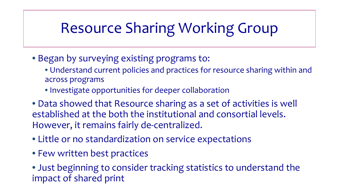## Resource Sharing Working Group

- Began by surveying existing programs to:
	- Understand current policies and practices for resource sharing within and across programs
	- Investigate opportunities for deeper collaboration
- Data showed that Resource sharing as a set of activities is well established at the both the institutional and consortial levels. However, it remains fairly de-centralized.
- Little or no standardization on service expectations
- Few written best practices
- Just beginning to consider tracking statistics to understand the impact of shared print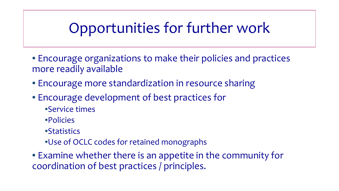#### Opportunities for further work

- Encourage organizations to make their policies and practices more readily available
- Encourage more standardization in resource sharing
- Encourage development of best practices for
	- •Service times
	- •Policies
	- •Statistics
	- •Use of OCLC codes for retained monographs
- Examine whether there is an appetite in the community for coordination of best practices / principles.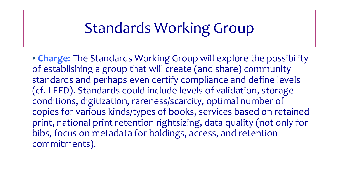#### Standards Working Group

• **Charge:** The Standards Working Group will explore the possibility of establishing a group that will create (and share) community standards and perhaps even certify compliance and define levels (cf. LEED). Standards could include levels of validation, storage conditions, digitization, rareness/scarcity, optimal number of copies for various kinds/types of books, services based on retained print, national print retention rightsizing, data quality (not only for bibs, focus on metadata for holdings, access, and retention commitments).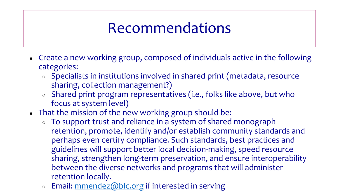#### Recommendations

- Create a new working group, composed of individuals active in the following categories:
	- Specialists in institutions involved in shared print (metadata, resource sharing, collection management?)
	- Shared print program representatives (i.e., folks like above, but who focus at system level)
- That the mission of the new working group should be:
	- To support trust and reliance in a system of shared monograph retention, promote, identify and/or establish community standards and perhaps even certify compliance. Such standards, best practices and guidelines will support better local decision-making, speed resource sharing, strengthen long-term preservation, and ensure interoperability between the diverse networks and programs that will administer retention locally.
	- Email: [mmendez@blc.org](mailto:mmendez@blc.org) if interested in serving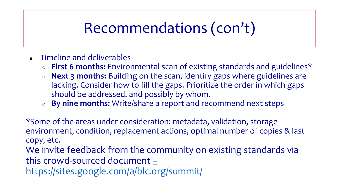## Recommendations (con't)

- Timeline and deliverables
	- **First 6 months:** Environmental scan of existing standards and guidelines\*
	- **Next 3 months:** Building on the scan, identify gaps where guidelines are lacking. Consider how to fill the gaps. Prioritize the order in which gaps should be addressed, and possibly by whom.
	- **By nine months:** Write/share a report and recommend next steps

\*Some of the areas under consideration: metadata, validation, storage environment, condition, replacement actions, optimal number of copies & last copy, etc.

We invite feedback from the community on existing standards via this crowd-sourced document –

<https://sites.google.com/a/blc.org/summit/>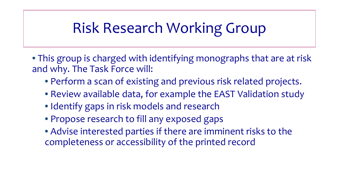## Risk Research Working Group

- This group is charged with identifying monographs that are at risk and why. The Task Force will:
	- Perform a scan of existing and previous risk related projects.
	- Review available data, for example the EAST Validation study
	- Identify gaps in risk models and research
	- Propose research to fill any exposed gaps
	- Advise interested parties if there are imminent risks to the completeness or accessibility of the printed record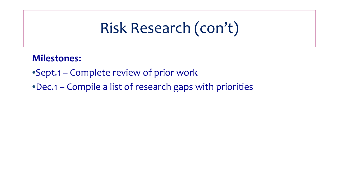#### Risk Research (con't)

#### **Milestones:**

- •Sept.1 Complete review of prior work
- •Dec.1 Compile a list of research gaps with priorities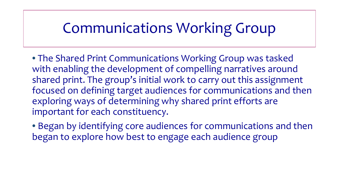#### Communications Working Group

- The Shared Print Communications Working Group was tasked with enabling the development of compelling narratives around shared print. The group's initial work to carry out this assignment focused on defining target audiences for communications and then exploring ways of determining why shared print efforts are important for each constituency.
- Began by identifying core audiences for communications and then began to explore how best to engage each audience group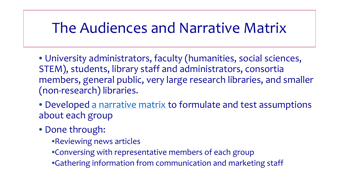#### The Audiences and Narrative Matrix

- University administrators, faculty (humanities, social sciences, STEM), students, library staff and administrators, consortia members, general public, very large research libraries, and smaller (non-research) libraries.
- Developed [a narrative matrix t](https://docs.google.com/spreadsheets/d/15t-Gzz9aY9wtU4ys8gggnlP3XngPqEeiYO_VECPo41E/edit#gid=1323658983)o formulate and test assumptions about each group
- Done through:
	- •Reviewing news articles
	- •Conversing with representative members of each group
	- •Gathering information from communication and marketing staff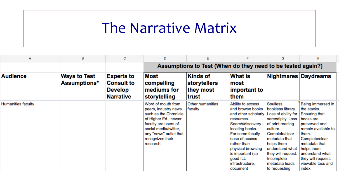#### The Narrative Matrix

| А                  | B                                   | С                                                                            | D                                                                                                                                                                                                      |                                                       |                                                                                                                                                                                                                                                              | G                                                                                                                                                                                                                                                     | н                                                                                                                                                                                                                                               |
|--------------------|-------------------------------------|------------------------------------------------------------------------------|--------------------------------------------------------------------------------------------------------------------------------------------------------------------------------------------------------|-------------------------------------------------------|--------------------------------------------------------------------------------------------------------------------------------------------------------------------------------------------------------------------------------------------------------------|-------------------------------------------------------------------------------------------------------------------------------------------------------------------------------------------------------------------------------------------------------|-------------------------------------------------------------------------------------------------------------------------------------------------------------------------------------------------------------------------------------------------|
|                    |                                     |                                                                              | Assumptions to Test (When do they need to be tested again?)                                                                                                                                            |                                                       |                                                                                                                                                                                                                                                              |                                                                                                                                                                                                                                                       |                                                                                                                                                                                                                                                 |
| <b>Audience</b>    | <b>Ways to Test</b><br>Assumptions* | <b>Experts to</b><br><b>Consult to</b><br><b>Develop</b><br><b>Narrative</b> | Most<br>compelling<br>mediums for<br>storytelling                                                                                                                                                      | <b>Kinds of</b><br>storytellers<br>they most<br>trust | <b>What is</b><br>∣most<br>important to<br>them                                                                                                                                                                                                              | Nightmares Daydreams                                                                                                                                                                                                                                  |                                                                                                                                                                                                                                                 |
| Humanities faculty |                                     |                                                                              | Word of mouth from<br>peers, industry news<br>such as the Chronicle<br>of Higher Ed., newer<br>faculty are users of<br>social media/twitter,<br>any "news" outlet that<br>recognizes their<br>research | Other humanities<br>faculty                           | Ability to access<br>and browse books<br>and other scholarly<br>resources.<br>Search/discovery -<br>locating books.<br>For some faculty<br>ease of access<br>rather than<br>physical browsing<br>is important (so<br>good ILL<br>infrastructure,<br>document | Soulless,<br>bookless library.<br>Loss of ability for<br>serendipity. Loss<br>of print reading<br>culture.<br>Complete/clear<br>metadata that<br>helps them<br>understand what<br>they will request.<br>Incomplete<br>metadata leads<br>to requesting | Being immersed in<br>the stacks.<br><b>Ensuring that</b><br>books are<br>preserved and<br>remain available to<br>them.<br>Complete/clear<br>metadata that<br>helps them<br>understand what<br>they will request:<br>viewable tocs and<br>index. |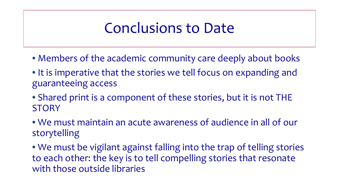#### Conclusions to Date

- Members of the academic community care deeply about books
- It is imperative that the stories we tell focus on expanding and guaranteeing access
- Shared print is a component of these stories, but it is not THE **STORY**
- We must maintain an acute awareness of audience in all of our storytelling
- We must be vigilant against falling into the trap of telling stories to each other: the key is to tell compelling stories that resonate with those outside libraries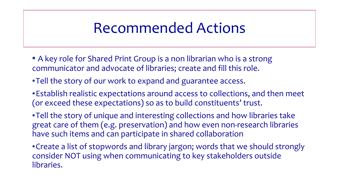#### Recommended Actions

- A key role for Shared Print Group is a non librarian who is a strong communicator and advocate of libraries; create and fill this role.
- •Tell the story of our work to expand and guarantee access.
- •Establish realistic expectations around access to collections, and then meet (or exceed these expectations) so as to build constituents' trust.
- •Tell the story of unique and interesting collections and how libraries take great care of them (e.g. preservation) and how even non-research libraries have such items and can participate in shared collaboration
- •Create a list of stopwords and library jargon; words that we should strongly consider NOT using when communicating to key stakeholders outside libraries.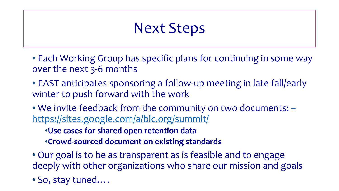#### Next Steps

- Each Working Group has specific plans for continuing in some way over the next 3-6 months
- EAST anticipates sponsoring a follow-up meeting in late fall/early winter to push forward with the work
- We invite feedback from the community on two documents:  $\pm$ <https://sites.google.com/a/blc.org/summit/>
	- •**Use cases for shared open retention data**
	- •**Crowd-sourced document on existing standards**
- Our goal is to be as transparent as is feasible and to engage deeply with other organizations who share our mission and goals
- So, stay tuned….